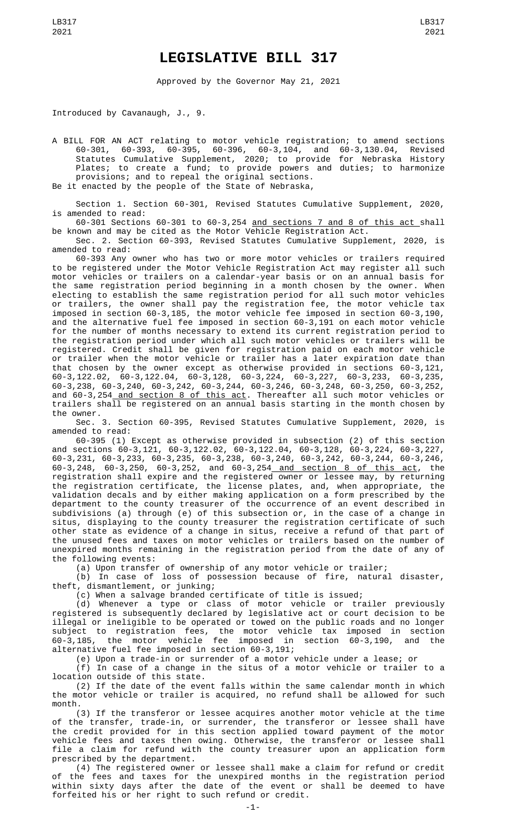## **LEGISLATIVE BILL 317**

Approved by the Governor May 21, 2021

Introduced by Cavanaugh, J., 9.

A BILL FOR AN ACT relating to motor vehicle registration; to amend sections 60-301, 60-393, 60-395, 60-396, 60-3,104, and 60-3,130.04, Revised Statutes Cumulative Supplement, 2020; to provide for Nebraska History Plates; to create a fund; to provide powers and duties; to harmonize provisions; and to repeal the original sections.

Be it enacted by the people of the State of Nebraska,

Section 1. Section 60-301, Revised Statutes Cumulative Supplement, 2020, is amended to read:

60-301 Sections 60-301 to 60-3,254 and sections 7 and 8 of this act shall be known and may be cited as the Motor Vehicle Registration Act.

Sec. 2. Section 60-393, Revised Statutes Cumulative Supplement, 2020, is amended to read:

60-393 Any owner who has two or more motor vehicles or trailers required to be registered under the Motor Vehicle Registration Act may register all such motor vehicles or trailers on a calendar-year basis or on an annual basis for the same registration period beginning in a month chosen by the owner. When electing to establish the same registration period for all such motor vehicles or trailers, the owner shall pay the registration fee, the motor vehicle tax imposed in section 60-3,185, the motor vehicle fee imposed in section 60-3,190, and the alternative fuel fee imposed in section 60-3,191 on each motor vehicle for the number of months necessary to extend its current registration period to the registration period under which all such motor vehicles or trailers will be registered. Credit shall be given for registration paid on each motor vehicle or trailer when the motor vehicle or trailer has a later expiration date than that chosen by the owner except as otherwise provided in sections 60-3,121, 60-3,122.02, 60-3,122.04, 60-3,128, 60-3,224, 60-3,227, 60-3,233, 60-3,235, 60-3,238, 60-3,240, 60-3,242, 60-3,244, 60-3,246, 60-3,248, 60-3,250, 60-3,252, and 60-3,254<u> and section 8 of this act</u>. Thereafter all such motor vehicles or trailers shall be registered on an annual basis starting in the month chosen by the owner.

Sec. 3. Section 60-395, Revised Statutes Cumulative Supplement, 2020, is amended to read:

60-395 (1) Except as otherwise provided in subsection (2) of this section and sections 60-3,121, 60-3,122.02, 60-3,122.04, 60-3,128, 60-3,224, 60-3,227, 60-3,231, 60-3,233, 60-3,235, 60-3,238, 60-3,240, 60-3,242, 60-3,244, 60-3,246, 60-3,248, 60-3,250, 60-3,252, and 60-3,254 and section 8 of this act, the registration shall expire and the registered owner or lessee may, by returning the registration certificate, the license plates, and, when appropriate, the validation decals and by either making application on a form prescribed by the department to the county treasurer of the occurrence of an event described in subdivisions (a) through (e) of this subsection or, in the case of a change in situs, displaying to the county treasurer the registration certificate of such other state as evidence of a change in situs, receive a refund of that part of the unused fees and taxes on motor vehicles or trailers based on the number of unexpired months remaining in the registration period from the date of any of the following events:

(a) Upon transfer of ownership of any motor vehicle or trailer;

(b) In case of loss of possession because of fire, natural disaster, theft, dismantlement, or junking;

(c) When a salvage branded certificate of title is issued;

(d) Whenever a type or class of motor vehicle or trailer previously registered is subsequently declared by legislative act or court decision to be illegal or ineligible to be operated or towed on the public roads and no longer subject to registration fees, the motor vehicle tax imposed in section 60-3,185, the motor vehicle fee imposed in section 60-3,190, and the alternative fuel fee imposed in section 60-3,191;

(e) Upon a trade-in or surrender of a motor vehicle under a lease; or

(f) In case of a change in the situs of a motor vehicle or trailer to a location outside of this state.

(2) If the date of the event falls within the same calendar month in which the motor vehicle or trailer is acquired, no refund shall be allowed for such month.

(3) If the transferor or lessee acquires another motor vehicle at the time of the transfer, trade-in, or surrender, the transferor or lessee shall have the credit provided for in this section applied toward payment of the motor vehicle fees and taxes then owing. Otherwise, the transferor or lessee shall file a claim for refund with the county treasurer upon an application form prescribed by the department.

(4) The registered owner or lessee shall make a claim for refund or credit the fees and taxes for the unexpired months in the registration period within sixty days after the date of the event or shall be deemed to have forfeited his or her right to such refund or credit.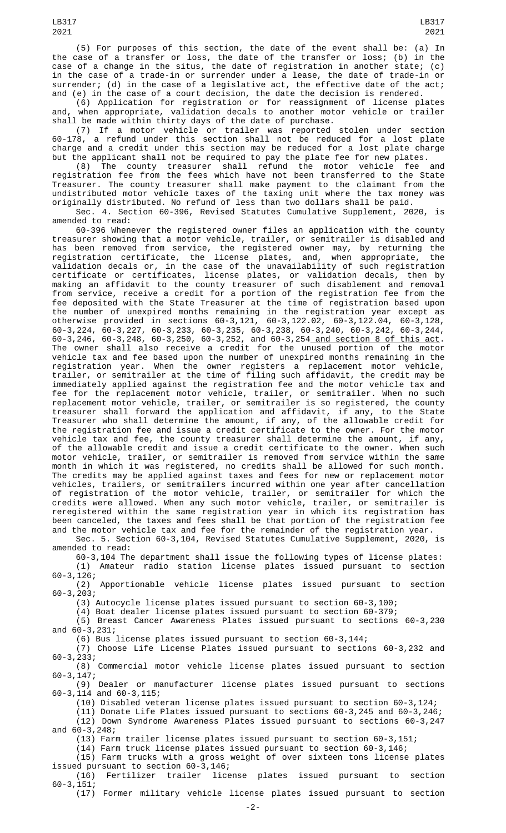(5) For purposes of this section, the date of the event shall be: (a) In the case of a transfer or loss, the date of the transfer or loss; (b) in the case of a change in the situs, the date of registration in another state; (c) in the case of a trade-in or surrender under a lease, the date of trade-in or surrender; (d) in the case of a legislative act, the effective date of the act; and (e) in the case of a court decision, the date the decision is rendered.

(6) Application for registration or for reassignment of license plates and, when appropriate, validation decals to another motor vehicle or trailer shall be made within thirty days of the date of purchase.

(7) If a motor vehicle or trailer was reported stolen under section 60-178, a refund under this section shall not be reduced for a lost plate charge and a credit under this section may be reduced for a lost plate charge but the applicant shall not be required to pay the plate fee for new plates.

(8) The county treasurer shall refund the motor vehicle fee and registration fee from the fees which have not been transferred to the State Treasurer. The county treasurer shall make payment to the claimant from the undistributed motor vehicle taxes of the taxing unit where the tax money was originally distributed. No refund of less than two dollars shall be paid.

Sec. 4. Section 60-396, Revised Statutes Cumulative Supplement, 2020, is amended to read:

60-396 Whenever the registered owner files an application with the county treasurer showing that a motor vehicle, trailer, or semitrailer is disabled and has been removed from service, the registered owner may, by returning the registration certificate, the license plates, and, when appropriate, the validation decals or, in the case of the unavailability of such registration certificate or certificates, license plates, or validation decals, then by making an affidavit to the county treasurer of such disablement and removal from service, receive a credit for a portion of the registration fee from the fee deposited with the State Treasurer at the time of registration based upon the number of unexpired months remaining in the registration year except as otherwise provided in sections 60-3,121, 60-3,122.02, 60-3,122.04, 60-3,128, 60-3,224, 60-3,227, 60-3,233, 60-3,235, 60-3,238, 60-3,240, 60-3,242, 60-3,244, 60-3,246, 60-3,248, 60-3,250, 60-3,252, and 60-3,254 and section 8 of this act. The owner shall also receive a credit for the unused portion of the motor vehicle tax and fee based upon the number of unexpired months remaining in the registration year. When the owner registers a replacement motor vehicle, trailer, or semitrailer at the time of filing such affidavit, the credit may be immediately applied against the registration fee and the motor vehicle tax and fee for the replacement motor vehicle, trailer, or semitrailer. When no such replacement motor vehicle, trailer, or semitrailer is so registered, the county treasurer shall forward the application and affidavit, if any, to the State Treasurer who shall determine the amount, if any, of the allowable credit for the registration fee and issue a credit certificate to the owner. For the motor vehicle tax and fee, the county treasurer shall determine the amount, if any, of the allowable credit and issue a credit certificate to the owner. When such motor vehicle, trailer, or semitrailer is removed from service within the same month in which it was registered, no credits shall be allowed for such month. The credits may be applied against taxes and fees for new or replacement motor vehicles, trailers, or semitrailers incurred within one year after cancellation of registration of the motor vehicle, trailer, or semitrailer for which the credits were allowed. When any such motor vehicle, trailer, or semitrailer is reregistered within the same registration year in which its registration has been canceled, the taxes and fees shall be that portion of the registration fee and the motor vehicle tax and fee for the remainder of the registration year.

Sec. 5. Section 60-3,104, Revised Statutes Cumulative Supplement, 2020, is amended to read:

60-3,104 The department shall issue the following types of license plates:<br>(1) Amateur radio station license plates issued pursuant to section Amateur radio station license plates issued pursuant to section

60-3,126; Apportionable vehicle license plates issued pursuant to section 60-3,203;

(3) Autocycle license plates issued pursuant to section 60-3,100;

(4) Boat dealer license plates issued pursuant to section 60-379;

(5) Breast Cancer Awareness Plates issued pursuant to sections 60-3,230 and 60-3,231;

(6) Bus license plates issued pursuant to section 60-3,144;

(7) Choose Life License Plates issued pursuant to sections 60-3,232 and 60-3,233;

Commercial motor vehicle license plates issued pursuant to section 60-3,147;

(9) Dealer or manufacturer license plates issued pursuant to sections 60-3,114 and 60-3,115;

(10) Disabled veteran license plates issued pursuant to section 60-3,124;

(11) Donate Life Plates issued pursuant to sections 60-3,245 and 60-3,246; (12) Down Syndrome Awareness Plates issued pursuant to sections 60-3,247 and 60-3,248;

(13) Farm trailer license plates issued pursuant to section 60-3,151;

(14) Farm truck license plates issued pursuant to section 60-3,146;

(15) Farm trucks with a gross weight of over sixteen tons license plates issued pursuant to section 60-3,146;<br>(16) Fertilizer trailer lice

license plates issued pursuant to section 60-3,151;

(17) Former military vehicle license plates issued pursuant to section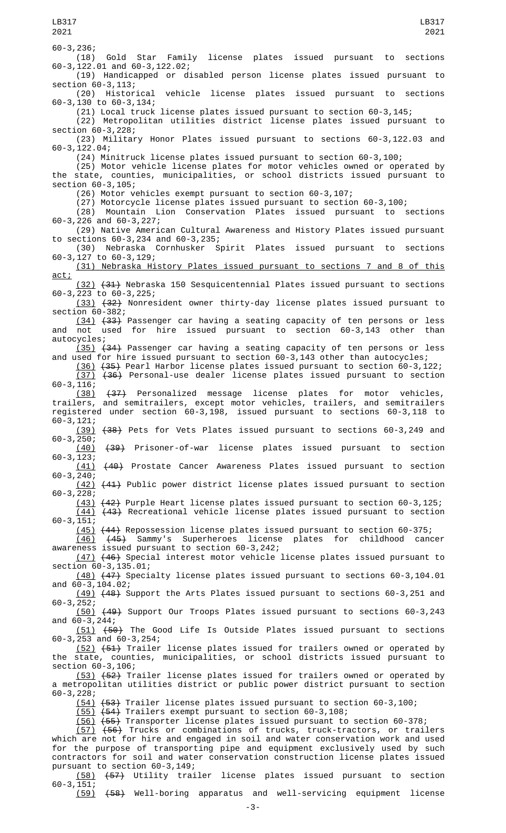60-3,236; (18) Gold Star Family license plates issued pursuant to sections 60-3,122.01 and 60-3,122.02; (19) Handicapped or disabled person license plates issued pursuant to section 60-3,113; (20) Historical vehicle license plates issued pursuant to sections 60-3,130 to 60-3,134; (21) Local truck license plates issued pursuant to section 60-3,145; (22) Metropolitan utilities district license plates issued pursuant to section 60-3,228; (23) Military Honor Plates issued pursuant to sections 60-3,122.03 and 60-3,122.04; (24) Minitruck license plates issued pursuant to section 60-3,100; (25) Motor vehicle license plates for motor vehicles owned or operated by the state, counties, municipalities, or school districts issued pursuant to section 60-3,105; (26) Motor vehicles exempt pursuant to section 60-3,107; (27) Motorcycle license plates issued pursuant to section 60-3,100; (28) Mountain Lion Conservation Plates issued pursuant to sections 60-3,226 and 60-3,227; (29) Native American Cultural Awareness and History Plates issued pursuant to sections 60-3,234 and 60-3,235; (30) Nebraska Cornhusker Spirit Plates issued pursuant to sections 60-3,127 to 60-3,129; (31) Nebraska History Plates issued pursuant to sections 7 and 8 of this act; (32) (31) Nebraska 150 Sesquicentennial Plates issued pursuant to sections 60-3,223 to 60-3,225; (33) (32) Nonresident owner thirty-day license plates issued pursuant to section 60-382; (34) (33) Passenger car having a seating capacity of ten persons or less and not used for hire issued pursuant to section 60-3,143 other than autocycles; (35) (34) Passenger car having a seating capacity of ten persons or less and used for hire issued pursuant to section 60-3,143 other than autocycles; (36) (35) Pearl Harbor license plates issued pursuant to section 60-3,122; (37) (36) Personal-use dealer license plates issued pursuant to section  $60-3, 116;$ <br>(38) (38) (37) Personalized message license plates for motor vehicles, trailers, and semitrailers, except motor vehicles, trailers, and semitrailers registered under section 60-3,198, issued pursuant to sections 60-3,118 to 60-3,121; (39) (38) Pets for Vets Plates issued pursuant to sections 60-3,249 and  $60-3, 250;$ <br>(40) (40) (39) Prisoner-of-war license plates issued pursuant to section 60-3,123; (41) (40) Prostate Cancer Awareness Plates issued pursuant to section  $60 - 3, 240;$ (42) (41) Public power district license plates issued pursuant to section 60-3,228; (43) (42) Purple Heart license plates issued pursuant to section 60-3,125;  $\overline{(44)}$   $\overline{(43)}$  Recreational vehicle license plates issued pursuant to section 60-3,151; (45) (44) Repossession license plates issued pursuant to section 60-375; (46) (45) Sammy's Superheroes license plates for childhood cancer awareness issued pursuant to section 60-3,242; (47) (46) Special interest motor vehicle license plates issued pursuant to section 60-3,135.01; (48) (47) Specialty license plates issued pursuant to sections 60-3,104.01 and 60-3,104.02; (49) (48) Support the Arts Plates issued pursuant to sections 60-3,251 and 60-3,252; (50) (49) Support Our Troops Plates issued pursuant to sections 60-3,243 and 60-3,244; (51) (50) The Good Life Is Outside Plates issued pursuant to sections 60-3,253 and 60-3,254; (52) (51) Trailer license plates issued for trailers owned or operated by the state, counties, municipalities, or school districts issued pursuant to section 60-3,106; (53) (52) Trailer license plates issued for trailers owned or operated by a metropolitan utilities district or public power district pursuant to section 60-3,228; (54) (53) Trailer license plates issued pursuant to section 60-3,100; (55) (54) Trailers exempt pursuant to section 60-3,108; (56) (55) Transporter license plates issued pursuant to section 60-378;  $(57)$   $(56)$  Trucks or combinations of trucks, truck-tractors, or trailers which are not for hire and engaged in soil and water conservation work and used for the purpose of transporting pipe and equipment exclusively used by such contractors for soil and water conservation construction license plates issued pursuant to section 60-3,149; (58) (57) Utility trailer license plates issued pursuant to section LB317 2021 LB317 2021

60-3,151; (59) (58) Well-boring apparatus and well-servicing equipment license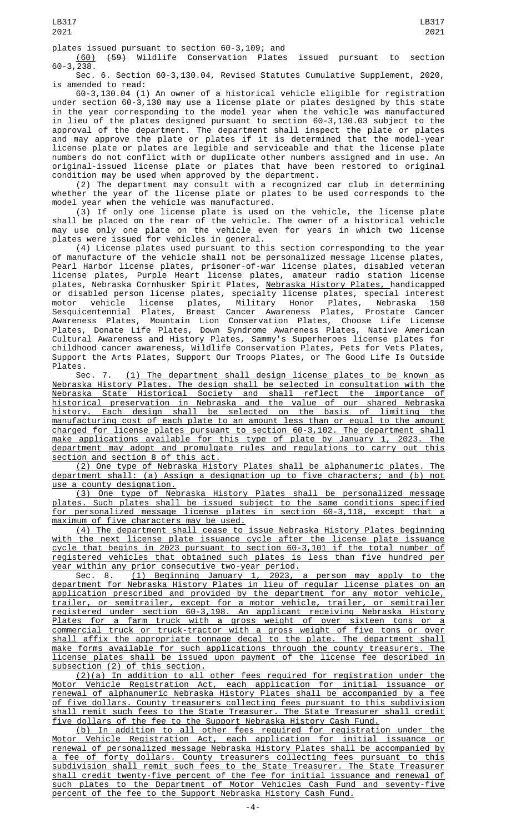plates issued pursuant to section 60-3,109; and<br>(60) (59) Wildlife Conservation Plates (60) (59) Wildlife Conservation Plates issued pursuant to section  $60 - 3,238.$ 

Sec. 6. Section 60-3,130.04, Revised Statutes Cumulative Supplement, 2020, is amended to read:

60-3,130.04 (1) An owner of a historical vehicle eligible for registration under section 60-3,130 may use a license plate or plates designed by this state in the year corresponding to the model year when the vehicle was manufactured in lieu of the plates designed pursuant to section 60-3,130.03 subject to the approval of the department. The department shall inspect the plate or plates and may approve the plate or plates if it is determined that the model-year license plate or plates are legible and serviceable and that the license plate numbers do not conflict with or duplicate other numbers assigned and in use. An original-issued license plate or plates that have been restored to original condition may be used when approved by the department.

(2) The department may consult with a recognized car club in determining whether the year of the license plate or plates to be used corresponds to the model year when the vehicle was manufactured.

(3) If only one license plate is used on the vehicle, the license plate shall be placed on the rear of the vehicle. The owner of a historical vehicle may use only one plate on the vehicle even for years in which two license plates were issued for vehicles in general.

(4) License plates used pursuant to this section corresponding to the year of manufacture of the vehicle shall not be personalized message license plates, Pearl Harbor license plates, prisoner-of-war license plates, disabled veteran license plates, Purple Heart license plates, amateur radio station license plates, Nebraska Cornhusker Spirit Plates, <u>Nebraska History Plates, </u>handicapped or disabled person license plates, specialty license plates, special interest motor vehicle license plates, Military Honor Plates, Nebraska 150 Sesquicentennial Plates, Breast Cancer Awareness Plates, Prostate Cancer Awareness Plates, Mountain Lion Conservation Plates, Choose Life License Plates, Donate Life Plates, Down Syndrome Awareness Plates, Native American Cultural Awareness and History Plates, Sammy's Superheroes license plates for childhood cancer awareness, Wildlife Conservation Plates, Pets for Vets Plates, Support the Arts Plates, Support Our Troops Plates, or The Good Life Is Outside Plates.<br>Sec.

7. (1) The department shall design license plates to be known as Nebraska History Plates. The design shall be selected in consultation with the Nebraska State Historical Society and shall reflect the importance of historical preservation in Nebraska and the value of our shared Nebraska history. Each design shall be selected on the basis of limiting the manufacturing cost of each plate to an amount less than or equal to the amount charged for license plates pursuant to section 60-3,102. The department shall make applications available for this type of plate by January 1, 2023. The department may adopt and promulgate rules and regulations to carry out this section and section 8 of this act.

(2) One type of Nebraska History Plates shall be alphanumeric plates. The department shall: (a) Assign a designation up to five characters; and (b) not use a county designation.

(3) One type of Nebraska History Plates shall be personalized message plates. Such plates shall be issued subject to the same conditions specified for personalized message license plates in section 60-3,118, except that a maximum of five characters may be used.

(4) The department shall cease to issue Nebraska History Plates beginning with the next license plate issuance cycle after the license plate issuance cycle that begins in 2023 pursuant to section 60-3,101 if the total number of registered vehicles that obtained such plates is less than five hundred per year within any prior consecutive two-year period.

Sec. 8. (1) Beginning January 1, 2023, a person may apply to the department for Nebraska History Plates in lieu of regular license plates on an application prescribed and provided by the department for any motor vehicle, trailer, or semitrailer, except for a motor vehicle, trailer, or semitrailer registered under section 60-3,198. An applicant receiving Nebraska History Plates for a farm truck with a gross weight of over sixteen tons or a commercial truck or truck-tractor with a gross weight of five tons or over shall affix the appropriate tonnage decal to the plate. The department shall make forms available for such applications through the county treasurers. The license plates shall be issued upon payment of the license fee described in subsection (2) of this section.

(2)(a) In addition to all other fees required for registration under the Motor Vehicle Registration Act, each application for initial issuance or renewal of alphanumeric Nebraska History Plates shall be accompanied by a fee of five dollars. County treasurers collecting fees pursuant to this subdivision shall remit such fees to the State Treasurer. The State Treasurer shall credit five dollars of the fee to the Support Nebraska History Cash Fund.

(b) In addition to all other fees required for registration under the Motor Vehicle Registration Act, each application for initial issuance or renewal of personalized message Nebraska History Plates shall be accompanied by a fee of forty dollars. County treasurers collecting fees pursuant to this subdivision shall remit such fees to the State Treasurer. The State Treasurer shall credit twenty-five percent of the fee for initial issuance and renewal of such plates to the Department of Motor Vehicles Cash Fund and seventy-five percent of the fee to the Support Nebraska History Cash Fund.

 $-4-$